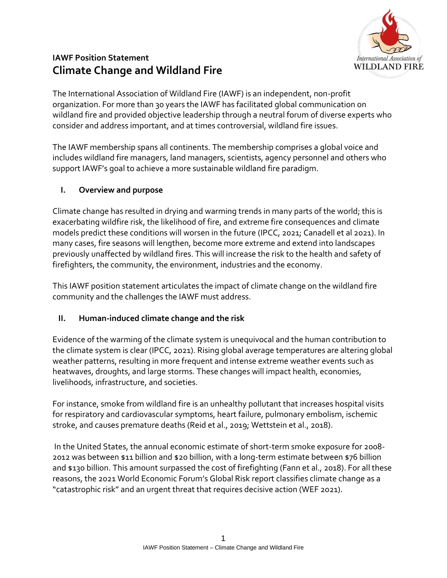

# **IAWF Position Statement Climate Change and Wildland Fire**

The International Association of Wildland Fire (IAWF) is an independent, non-profit organization. For more than 30 years the IAWF has facilitated global communication on wildland fire and provided objective leadership through a neutral forum of diverse experts who consider and address important, and at times controversial, wildland fire issues.

The IAWF membership spans all continents. The membership comprises a global voice and includes wildland fire managers, land managers, scientists, agency personnel and others who support IAWF's goal to achieve a more sustainable wildland fire paradigm.

### **I. Overview and purpose**

Climate change has resulted in drying and warming trends in many parts of the world; this is exacerbating wildfire risk, the likelihood of fire, and extreme fire consequences and climate models predict these conditions will worsen in the future (IPCC, 2021; Canadell et al 2021). In many cases, fire seasons will lengthen, become more extreme and extend into landscapes previously unaffected by wildland fires. This will increase the risk to the health and safety of firefighters, the community, the environment, industries and the economy.

This IAWF position statement articulates the impact of climate change on the wildland fire community and the challenges the IAWF must address.

### **II. Human-induced climate change and the risk**

Evidence of the warming of the climate system is unequivocal and the human contribution to the climate system is clear (IPCC, 2021). Rising global average temperatures are altering global weather patterns, resulting in more frequent and intense extreme weather events such as heatwaves, droughts, and large storms. These changes will impact health, economies, livelihoods, infrastructure, and societies.

For instance, smoke from wildland fire is an unhealthy pollutant that increases hospital visits for respiratory and cardiovascular symptoms, heart failure, pulmonary embolism, ischemic stroke, and causes premature deaths (Reid et al., 2019; Wettstein et al., 2018).

In the United States, the annual economic estimate of short-term smoke exposure for 2008- 2012 was between \$11 billion and \$20 billion, with a long-term estimate between \$76 billion and \$130 billion. This amount surpassed the cost of firefighting (Fann et al., 2018). For all these reasons, the 2021 World Economic Forum's Global Risk report classifies climate change as a "catastrophic risk" and an urgent threat that requires decisive action (WEF 2021).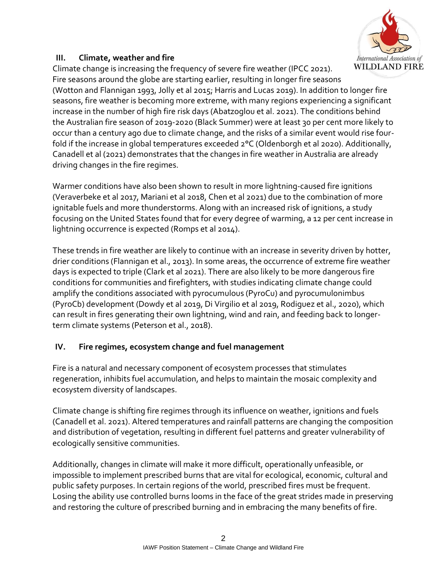

### **III. Climate, weather and fire**

Climate change is increasing the frequency of severe fire weather (IPCC 2021). Fire seasons around the globe are starting earlier, resulting in longer fire seasons (Wotton and Flannigan 1993, Jolly et al 2015; Harris and Lucas 2019). In addition to longer fire seasons, fire weather is becoming more extreme, with many regions experiencing a significant increase in the number of high fire risk days (Abatzoglou et al. 2021). The conditions behind the Australian fire season of 2019-2020 (Black Summer) were at least 30 per cent more likely to occur than a century ago due to climate change, and the risks of a similar event would rise fourfold if the increase in global temperatures exceeded 2°C (Oldenborgh et al 2020). Additionally, Canadell et al (2021) demonstrates that the changes in fire weather in Australia are already driving changes in the fire regimes.

Warmer conditions have also been shown to result in more lightning-caused fire ignitions (Veraverbeke et al 2017, Mariani et al 2018, Chen et al 2021) due to the combination of more ignitable fuels and more thunderstorms. Along with an increased risk of ignitions, a study focusing on the United States found that for every degree of warming, a 12 per cent increase in lightning occurrence is expected (Romps et al 2014).

These trends in fire weather are likely to continue with an increase in severity driven by hotter, drier conditions (Flannigan et al., 2013). In some areas, the occurrence of extreme fire weather days is expected to triple (Clark et al 2021). There are also likely to be more dangerous fire conditions for communities and firefighters, with studies indicating climate change could amplify the conditions associated with pyrocumulous (PyroCu) and pyrocumulonimbus (PyroCb) development (Dowdy et al 2019, Di Virgilio et al 2019, Rodiguez et al., 2020), which can result in fires generating their own lightning, wind and rain, and feeding back to longerterm climate systems (Peterson et al., 2018).

### **IV. Fire regimes, ecosystem change and fuel management**

Fire is a natural and necessary component of ecosystem processes that stimulates regeneration, inhibits fuel accumulation, and helps to maintain the mosaic complexity and ecosystem diversity of landscapes.

Climate change is shifting fire regimes through its influence on weather, ignitions and fuels (Canadell et al. 2021). Altered temperatures and rainfall patterns are changing the composition and distribution of vegetation, resulting in different fuel patterns and greater vulnerability of ecologically sensitive communities.

Additionally, changes in climate will make it more difficult, operationally unfeasible, or impossible to implement prescribed burns that are vital for ecological, economic, cultural and public safety purposes. In certain regions of the world, prescribed fires must be frequent. Losing the ability use controlled burns looms in the face of the great strides made in preserving and restoring the culture of prescribed burning and in embracing the many benefits of fire.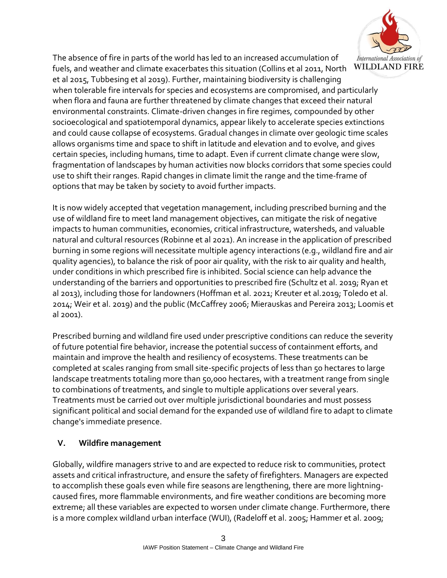

The absence of fire in parts of the world has led to an increased accumulation of fuels, and weather and climate exacerbates this situation (Collins et al 2011, North et al 2015, Tubbesing et al 2019). Further, maintaining biodiversity is challenging when tolerable fire intervals for species and ecosystems are compromised, and particularly when flora and fauna are further threatened by climate changes that exceed their natural environmental constraints. Climate-driven changes in fire regimes, compounded by other socioecological and spatiotemporal dynamics, appear likely to accelerate species extinctions and could cause collapse of ecosystems. Gradual changes in climate over geologic time scales allows organisms time and space to shift in latitude and elevation and to evolve, and gives certain species, including humans, time to adapt. Even if current climate change were slow, fragmentation of landscapes by human activities now blocks corridors that some species could use to shift their ranges. Rapid changes in climate limit the range and the time-frame of options that may be taken by society to avoid further impacts.

It is now widely accepted that vegetation management, including prescribed burning and the use of wildland fire to meet land management objectives, can mitigate the risk of negative impacts to human communities, economies, critical infrastructure, watersheds, and valuable natural and cultural resources (Robinne et al 2021). An increase in the application of prescribed burning in some regions will necessitate multiple agency interactions (e.g., wildland fire and air quality agencies), to balance the risk of poor air quality, with the risk to air quality and health, under conditions in which prescribed fire is inhibited. Social science can help advance the understanding of the barriers and opportunities to prescribed fire (Schultz et al. 2019; Ryan et al 2013), including those for landowners (Hoffman et al. 2021; Kreuter et al.2019; Toledo et al. 2014; Weir et al. 2019) and the public (McCaffrey 2006; Mierauskas and Pereira 2013; Loomis et  $a$ l 2001).

Prescribed burning and wildland fire used under prescriptive conditions can reduce the severity of future potential fire behavior, increase the potential success of containment efforts, and maintain and improve the health and resiliency of ecosystems. These treatments can be completed at scales ranging from small site-specific projects of less than 50 hectares to large landscape treatments totaling more than 50,000 hectares, with a treatment range from single to combinations of treatments, and single to multiple applications over several years. Treatments must be carried out over multiple jurisdictional boundaries and must possess significant political and social demand for the expanded use of wildland fire to adapt to climate change's immediate presence.

### **V. Wildfire management**

Globally, wildfire managers strive to and are expected to reduce risk to communities, protect assets and critical infrastructure, and ensure the safety of firefighters. Managers are expected to accomplish these goals even while fire seasons are lengthening, there are more lightningcaused fires, more flammable environments, and fire weather conditions are becoming more extreme; all these variables are expected to worsen under climate change. Furthermore, there is a more complex wildland urban interface (WUI), (Radeloff et al. 2005; Hammer et al. 2009;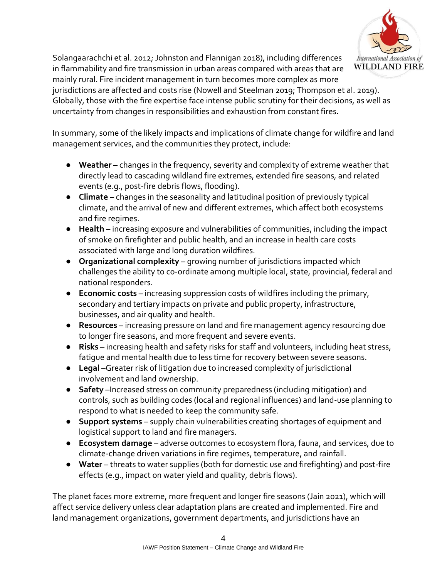

Solangaarachchi et al. 2012; Johnston and Flannigan 2018), including differences in flammability and fire transmission in urban areas compared with areas that are mainly rural. Fire incident management in turn becomes more complex as more

jurisdictions are affected and costs rise (Nowell and Steelman 2019; Thompson et al. 2019). Globally, those with the fire expertise face intense public scrutiny for their decisions, as well as uncertainty from changes in responsibilities and exhaustion from constant fires.

In summary, some of the likely impacts and implications of climate change for wildfire and land management services, and the communities they protect, include:

- **Weather** changes in the frequency, severity and complexity of extreme weather that directly lead to cascading wildland fire extremes, extended fire seasons, and related events (e.g., post-fire debris flows, flooding).
- **Climate** changes in the seasonality and latitudinal position of previously typical climate, and the arrival of new and different extremes, which affect both ecosystems and fire regimes.
- **Health** increasing exposure and vulnerabilities of communities, including the impact of smoke on firefighter and public health, and an increase in health care costs associated with large and long duration wildfires.
- **Organizational complexity** growing number of jurisdictions impacted which challenges the ability to co-ordinate among multiple local, state, provincial, federal and national responders.
- **Economic costs** increasing suppression costs of wildfires including the primary, secondary and tertiary impacts on private and public property, infrastructure, businesses, and air quality and health.
- **Resources** increasing pressure on land and fire management agency resourcing due to longer fire seasons, and more frequent and severe events.
- **Risks** increasing health and safety risks for staff and volunteers, including heat stress, fatigue and mental health due to less time for recovery between severe seasons.
- **Legal** –Greater risk of litigation due to increased complexity of jurisdictional involvement and land ownership.
- **Safety** –Increased stress on community preparedness (including mitigation) and controls, such as building codes (local and regional influences) and land-use planning to respond to what is needed to keep the community safe.
- **Support systems** supply chain vulnerabilities creating shortages of equipment and logistical support to land and fire managers.
- **Ecosystem damage** adverse outcomes to ecosystem flora, fauna, and services, due to climate-change driven variations in fire regimes, temperature, and rainfall.
- **Water**  threats to water supplies (both for domestic use and firefighting) and post-fire effects (e.g., impact on water yield and quality, debris flows).

The planet faces more extreme, more frequent and longer fire seasons (Jain 2021), which will affect service delivery unless clear adaptation plans are created and implemented. Fire and land management organizations, government departments, and jurisdictions have an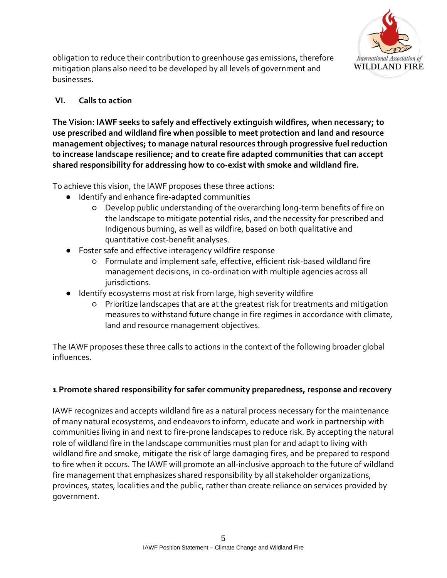

obligation to reduce their contribution to greenhouse gas emissions, therefore mitigation plans also need to be developed by all levels of government and businesses.

### **VI. Calls to action**

**The Vision: IAWF seeks to safely and effectively extinguish wildfires, when necessary; to use prescribed and wildland fire when possible to meet protection and land and resource management objectives; to manage natural resources through progressive fuel reduction to increase landscape resilience; and to create fire adapted communities that can accept shared responsibility for addressing how to co-exist with smoke and wildland fire.**

To achieve this vision, the IAWF proposes these three actions:

- Identify and enhance fire-adapted communities
	- Develop public understanding of the overarching long-term benefits of fire on the landscape to mitigate potential risks, and the necessity for prescribed and Indigenous burning, as well as wildfire, based on both qualitative and quantitative cost-benefit analyses.
- Foster safe and effective interagency wildfire response
	- Formulate and implement safe, effective, efficient risk-based wildland fire management decisions, in co-ordination with multiple agencies across all jurisdictions.
- Identify ecosystems most at risk from large, high severity wildfire
	- Prioritize landscapes that are at the greatest risk for treatments and mitigation measures to withstand future change in fire regimes in accordance with climate, land and resource management objectives.

The IAWF proposes these three calls to actions in the context of the following broader global influences.

### **1 Promote shared responsibility for safer community preparedness, response and recovery**

IAWF recognizes and accepts wildland fire as a natural process necessary for the maintenance of many natural ecosystems, and endeavors to inform, educate and work in partnership with communities living in and next to fire-prone landscapes to reduce risk. By accepting the natural role of wildland fire in the landscape communities must plan for and adapt to living with wildland fire and smoke, mitigate the risk of large damaging fires, and be prepared to respond to fire when it occurs. The IAWF will promote an all-inclusive approach to the future of wildland fire management that emphasizes shared responsibility by all stakeholder organizations, provinces, states, localities and the public, rather than create reliance on services provided by government.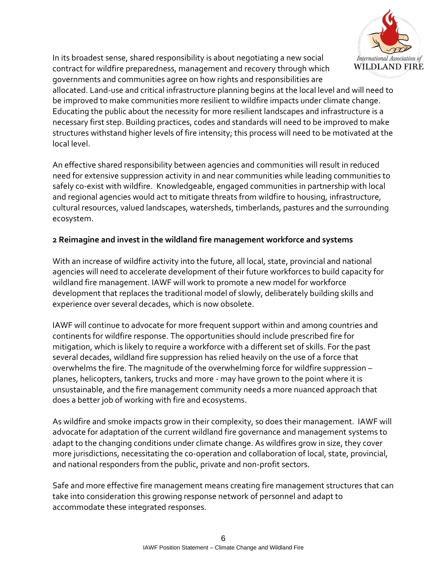

In its broadest sense, shared responsibility is about negotiating a new social contract for wildfire preparedness, management and recovery through which governments and communities agree on how rights and responsibilities are

allocated. Land-use and critical infrastructure planning begins at the local level and will need to be improved to make communities more resilient to wildfire impacts under climate change. Educating the public about the necessity for more resilient landscapes and infrastructure is a necessary first step. Building practices, codes and standards will need to be improved to make structures withstand higher levels of fire intensity; this process will need to be motivated at the local level.

An effective shared responsibility between agencies and communities will result in reduced need for extensive suppression activity in and near communities while leading communities to safely co-exist with wildfire. Knowledgeable, engaged communities in partnership with local and regional agencies would act to mitigate threats from wildfire to housing, infrastructure, cultural resources, valued landscapes, watersheds, timberlands, pastures and the surrounding ecosystem.

### **2 Reimagine and invest in the wildland fire management workforce and systems**

With an increase of wildfire activity into the future, all local, state, provincial and national agencies will need to accelerate development of their future workforces to build capacity for wildland fire management. IAWF will work to promote a new model for workforce development that replaces the traditional model of slowly, deliberately building skills and experience over several decades, which is now obsolete.

IAWF will continue to advocate for more frequent support within and among countries and continents for wildfire response. The opportunities should include prescribed fire for mitigation, which is likely to require a workforce with a different set of skills. For the past several decades, wildland fire suppression has relied heavily on the use of a force that overwhelms the fire. The magnitude of the overwhelming force for wildfire suppression – planes, helicopters, tankers, trucks and more - may have grown to the point where it is unsustainable, and the fire management community needs a more nuanced approach that does a better job of working with fire and ecosystems.

As wildfire and smoke impacts grow in their complexity, so does their management. IAWF will advocate for adaptation of the current wildland fire governance and management systems to adapt to the changing conditions under climate change. As wildfires grow in size, they cover more jurisdictions, necessitating the co-operation and collaboration of local, state, provincial, and national responders from the public, private and non-profit sectors.

Safe and more effective fire management means creating fire management structures that can take into consideration this growing response network of personnel and adapt to accommodate these integrated responses.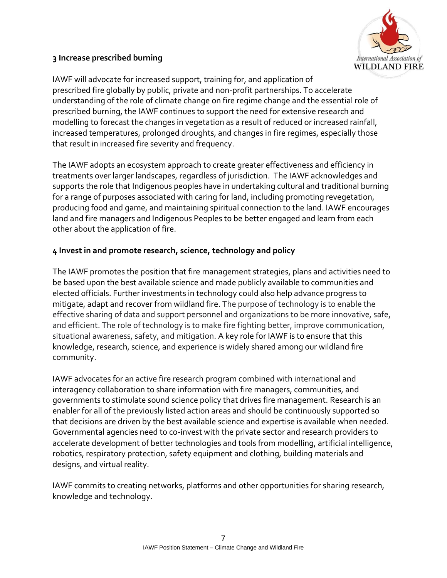

#### **3 Increase prescribed burning**

IAWF will advocate for increased support, training for, and application of prescribed fire globally by public, private and non-profit partnerships. To accelerate understanding of the role of climate change on fire regime change and the essential role of prescribed burning, the IAWF continues to support the need for extensive research and modelling to forecast the changes in vegetation as a result of reduced or increased rainfall, increased temperatures, prolonged droughts, and changes in fire regimes, especially those that result in increased fire severity and frequency.

The IAWF adopts an ecosystem approach to create greater effectiveness and efficiency in treatments over larger landscapes, regardless of jurisdiction. The IAWF acknowledges and supports the role that Indigenous peoples have in undertaking cultural and traditional burning for a range of purposes associated with caring for land, including promoting revegetation, producing food and game, and maintaining spiritual connection to the land. IAWF encourages land and fire managers and Indigenous Peoples to be better engaged and learn from each other about the application of fire.

#### **4 Invest in and promote research, science, technology and policy**

The IAWF promotes the position that fire management strategies, plans and activities need to be based upon the best available science and made publicly available to communities and elected officials. Further investments in technology could also help advance progress to mitigate, adapt and recover from wildland fire. The purpose of technology is to enable the effective sharing of data and support personnel and organizations to be more innovative, safe, and efficient. The role of technology is to make fire fighting better, improve communication, situational awareness, safety, and mitigation. A key role for IAWF is to ensure that this knowledge, research, science, and experience is widely shared among our wildland fire community.

IAWF advocates for an active fire research program combined with international and interagency collaboration to share information with fire managers, communities, and governments to stimulate sound science policy that drives fire management. Research is an enabler for all of the previously listed action areas and should be continuously supported so that decisions are driven by the best available science and expertise is available when needed. Governmental agencies need to co-invest with the private sector and research providers to accelerate development of better technologies and tools from modelling, artificial intelligence, robotics, respiratory protection, safety equipment and clothing, building materials and designs, and virtual reality.

IAWF commits to creating networks, platforms and other opportunities for sharing research, knowledge and technology.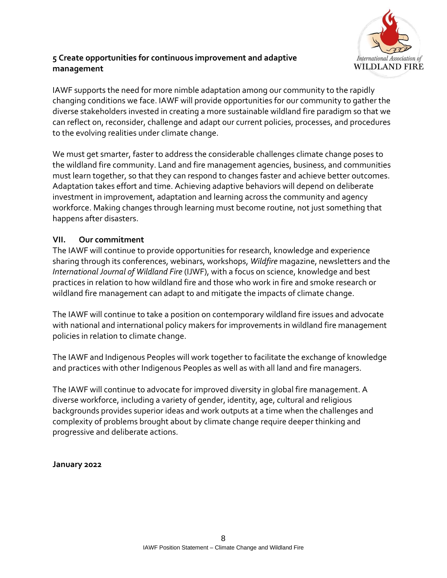

## **5 Create opportunities for continuous improvement and adaptive management**

IAWF supports the need for more nimble adaptation among our community to the rapidly changing conditions we face. IAWF will provide opportunities for our community to gather the diverse stakeholders invested in creating a more sustainable wildland fire paradigm so that we can reflect on, reconsider, challenge and adapt our current policies, processes, and procedures to the evolving realities under climate change.

We must get smarter, faster to address the considerable challenges climate change poses to the wildland fire community. Land and fire management agencies, business, and communities must learn together, so that they can respond to changes faster and achieve better outcomes. Adaptation takes effort and time. Achieving adaptive behaviors will depend on deliberate investment in improvement, adaptation and learning across the community and agency workforce. Making changes through learning must become routine, not just something that happens after disasters.

### **VII. Our commitment**

The IAWF will continue to provide opportunities for research, knowledge and experience sharing through its conferences, webinars, workshops, *Wildfire* magazine, newsletters and the *International Journal of Wildland Fire* (IJWF), with a focus on science, knowledge and best practices in relation to how wildland fire and those who work in fire and smoke research or wildland fire management can adapt to and mitigate the impacts of climate change.

The IAWF will continue to take a position on contemporary wildland fire issues and advocate with national and international policy makers for improvements in wildland fire management policies in relation to climate change.

The IAWF and Indigenous Peoples will work together to facilitate the exchange of knowledge and practices with other Indigenous Peoples as well as with all land and fire managers.

The IAWF will continue to advocate for improved diversity in global fire management. A diverse workforce, including a variety of gender, identity, age, cultural and religious backgrounds provides superior ideas and work outputs at a time when the challenges and complexity of problems brought about by climate change require deeper thinking and progressive and deliberate actions.

#### **January 2022**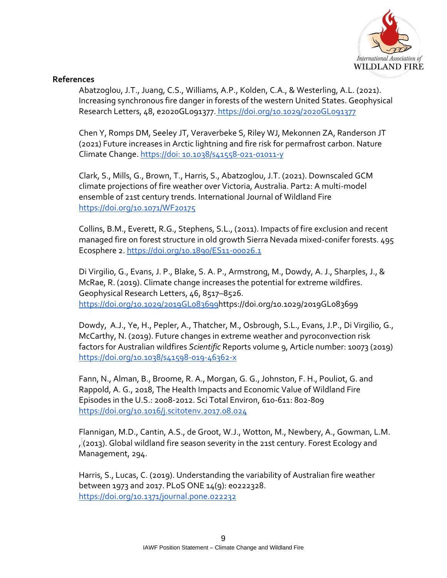

#### **References**

Abatzoglou, J.T., Juang, C.S., Williams, A.P., Kolden, C.A., & Westerling, A.L. (2021). Increasing synchronous fire danger in forests of the western United States. Geophysical Research Letters, 48, e2020GL091377. https://doi.org/10.1029/2020GL091377

Chen Y, Romps DM, Seeley JT, Veraverbeke S, Riley WJ, Mekonnen ZA, Randerson JT (2021) Future increases in Arctic lightning and fire risk for permafrost carbon. Nature Climate Change. https://doi: 10.1038/s41558-021-01011-y

Clark, S., Mills, G., Brown, T., Harris, S., Abatzoglou, J.T. (2021). Downscaled GCM climate projections of fire weather over Victoria, Australia. Part2: A multi-model ensemble of 21st century trends. International Journal of Wildland Fir[e](https://doi.org/10.1071/WF20175) <https://doi.org/10.1071/WF20175>

Collins, B.M., Everett, R.G., Stephens, S.L., (2011). Impacts of fire exclusion and recent managed fire on forest structure in old growth Sierra Nevada mixed-conifer forests. 495 Ecosphere 2. <https://doi.org/10.1890/ES11-00026.1>

Di Virgilio, G., Evans, J. P., Blake, S. A. P., Armstrong, M., Dowdy, A. J., Sharples, J., & McRae, R. (2019). Climate change increases the potential for extreme wildfires. Geophysical Research Letters, 46, 8517–8526[.](https://doi.org/10.1029/2019GL083699) [https://doi.org/10.1029/2019GL083699h](https://doi.org/10.1029/2019GL083699)ttps://doi.org/10.1029/2019GL083699

Dowdy, A.J., Ye, H., Pepler, A., Thatcher, M., Osbrough, S.L., Evans, J.P., Di Virgilio, G., McCarthy, N. (2019). Future changes in extreme weather and pyroconvection risk factors for Australian wildfires *Scientific* Reports volume 9, Article number: 10073 (2019) <https://doi.org/10.1038/s41598-019-46362-x>

Fann, N., Alman, B., Broome, R. A., Morgan, G. G., Johnston, F. H., Pouliot, G. and Rappold, A. G., 2018, The Health Impacts and Economic Value of Wildland Fire Episodes in the U.S.: 2008-2012. Sci Total Environ, 610-611: 802-809 https://doi.org/10.1016/j.scitotenv.2017.08.024

Flannigan, M.D., Cantin, A.S., de Groot, W.J., Wotton, M., Newbery, A., Gowman, L.M. , (2013). Global wildland fire season severity in the 21st century. Forest Ecology and Management, 294.

Harris, S., Lucas, C. (2019). Understanding the variability of Australian fire weather between 1973 and 2017. PLoS ONE 14(9): e0222328[.](https://doi.org/10.1371/journal.pone.022232) <https://doi.org/10.1371/journal.pone.022232>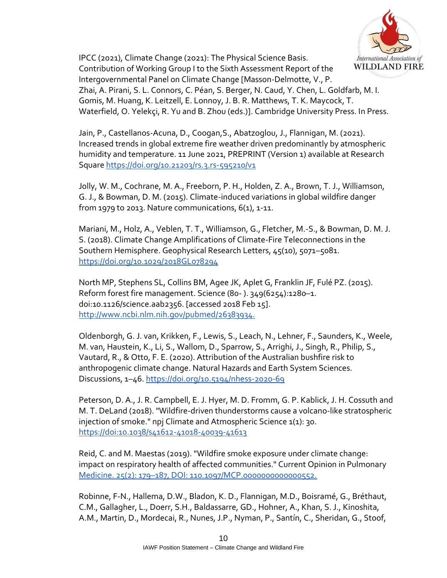

IPCC (2021), Climate Change (2021): The Physical Science Basis. Contribution of Working Group I to the Sixth Assessment Report of the Intergovernmental Panel on Climate Change [Masson-Delmotte, V., P. Zhai, A. Pirani, S. L. Connors, C. Péan, S. Berger, N. Caud, Y. Chen, L. Goldfarb, M. I. Gomis, M. Huang, K. Leitzell, E. Lonnoy, J. B. R. Matthews, T. K. Maycock, T. Waterfield, O. Yelekçi, R. Yu and B. Zhou (eds.)]. Cambridge University Press. In Press.

Jain, P., Castellanos-Acuna, D., Coogan,S., Abatzoglou, J., Flannigan, M. (2021). Increased trends in global extreme fire weather driven predominantly by atmospheric humidity and temperature. 11 June 2021, PREPRINT (Version 1) available at Research Squar[e https://doi.org/10.21203/rs.3.rs-595210/v1](https://doi.org/10.21203/rs.3.rs-595210/v1)

Jolly, W. M., Cochrane, M. A., Freeborn, P. H., Holden, Z. A., Brown, T. J., Williamson, G. J., & Bowman, D. M. (2015). Climate-induced variations in global wildfire danger from 1979 to 2013. Nature communications,  $6(1)$ , 1-11.

Mariani, M., Holz, A., Veblen, T. T., Williamson, G., Fletcher, M.-S., & Bowman, D. M. J. S. (2018). Climate Change Amplifications of Climate-Fire Teleconnections in the Southern Hemisphere. Geophysical Research Letters, 45(10), 5071–5081[.](https://doi.org/10.1029/2018GL078294) <https://doi.org/10.1029/2018GL078294>

North MP, Stephens SL, Collins BM, Agee JK, Aplet G, Franklin JF, Fulé PZ. (2015). Reform forest fire management. Science (80- ). 349(6254):1280–1. doi:10.1126/science.aab2356. [accessed 2018 Feb 15]. [http://www.ncbi.nlm.nih.gov/pubmed/26383934.](http://www.ncbi.nlm.nih.gov/pubmed/26383934)

Oldenborgh, G. J. van, Krikken, F., Lewis, S., Leach, N., Lehner, F., Saunders, K., Weele, M. van, Haustein, K., Li, S., Wallom, D., Sparrow, S., Arrighi, J., Singh, R., Philip, S., Vautard, R., & Otto, F. E. (2020). Attribution of the Australian bushfire risk to anthropogenic climate change. Natural Hazards and Earth System Sciences. Discussions, 1-46[.](https://doi.org/10.5194/nhess-2020-69) <https://doi.org/10.5194/nhess-2020-69>

Peterson, D. A., J. R. Campbell, E. J. Hyer, M. D. Fromm, G. P. Kablick, J. H. Cossuth and M. T. DeLand (2018). "Wildfire-driven thunderstorms cause a volcano-like stratospheric injection of smoke." npj Climate and Atmospheric Science 1(1): 30. https://doi:10.1038/s41612-41018-40039-41613

Reid, C. and M. Maestas (2019). "Wildfire smoke exposure under climate change: impact on respiratory health of affected communities." Current Opinion in Pulmonary Medicine. 25(2): 179–187, DOI: 110.1097/MCP.0000000000000552.

Robinne, F-N., Hallema, D.W., Bladon, K. D., Flannigan, M.D., Boisramé, G., Bréthaut, C.M., Gallagher, L., Doerr, S.H., Baldassarre, GD., Hohner, A., Khan, S. J., Kinoshita, A.M., Martin, D., Mordecai, R., Nunes, J.P., Nyman, P., Santín, C., Sheridan, G., Stoof,